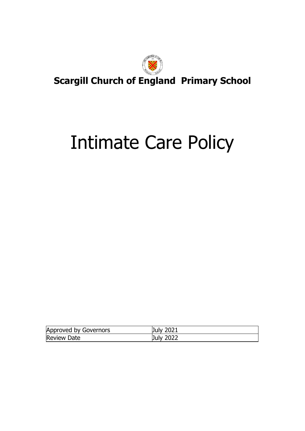

# Intimate Care Policy

| Approved by Governors | <b>July 2021</b> |
|-----------------------|------------------|
| <b>Review Date</b>    | July 2022        |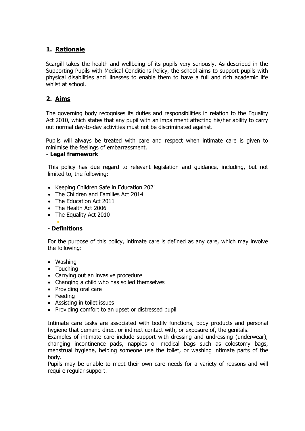### **1. Rationale**

Scargill takes the health and wellbeing of its pupils very seriously. As described in the Supporting Pupils with Medical Conditions Policy, the school aims to support pupils with physical disabilities and illnesses to enable them to have a full and rich academic life whilst at school.

### **2. Aims**

The governing body recognises its duties and responsibilities in relation to the Equality Act 2010, which states that any pupil with an impairment affecting his/her ability to carry out normal day-to-day activities must not be discriminated against.

Pupils will always be treated with care and respect when intimate care is given to minimise the feelings of embarrassment.

#### **- Legal framework**

This policy has due regard to relevant legislation and guidance, including, but not limited to, the following:

- Keeping Children Safe in Education 2021
- The Children and Families Act 2014
- The Education Act 2011
- The Health Act 2006
- The Equality Act 2010

#### • - **Definitions**

For the purpose of this policy, intimate care is defined as any care, which may involve the following:

- Washing
- Touching
- Carrying out an invasive procedure
- Changing a child who has soiled themselves
- Providing oral care
- Feeding
- Assisting in toilet issues
- Providing comfort to an upset or distressed pupil

Intimate care tasks are associated with bodily functions, body products and personal hygiene that demand direct or indirect contact with, or exposure of, the genitals.

Examples of intimate care include support with dressing and undressing (underwear), changing incontinence pads, nappies or medical bags such as colostomy bags, menstrual hygiene, helping someone use the toilet, or washing intimate parts of the body.

Pupils may be unable to meet their own care needs for a variety of reasons and will require regular support.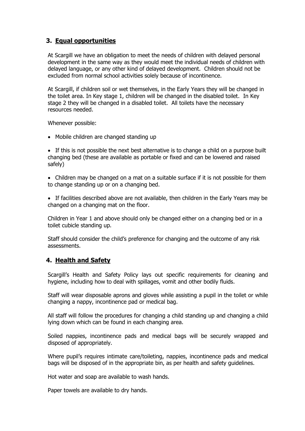### **3. Equal opportunities**

At Scargill we have an obligation to meet the needs of children with delayed personal development in the same way as they would meet the individual needs of children with delayed language, or any other kind of delayed development. Children should not be excluded from normal school activities solely because of incontinence.

At Scargill, if children soil or wet themselves, in the Early Years they will be changed in the toilet area. In Key stage 1, children will be changed in the disabled toilet. In Key stage 2 they will be changed in a disabled toilet. All toilets have the necessary resources needed.

Whenever possible:

• Mobile children are changed standing up

• If this is not possible the next best alternative is to change a child on a purpose built changing bed (these are available as portable or fixed and can be lowered and raised safely)

• Children may be changed on a mat on a suitable surface if it is not possible for them to change standing up or on a changing bed.

• If facilities described above are not available, then children in the Early Years may be changed on a changing mat on the floor.

Children in Year 1 and above should only be changed either on a changing bed or in a toilet cubicle standing up.

Staff should consider the child's preference for changing and the outcome of any risk assessments.

### **4. Health and Safety**

Scargill's Health and Safety Policy lays out specific requirements for cleaning and hygiene, including how to deal with spillages, vomit and other bodily fluids.

Staff will wear disposable aprons and gloves while assisting a pupil in the toilet or while changing a nappy, incontinence pad or medical bag.

All staff will follow the procedures for changing a child standing up and changing a child lying down which can be found in each changing area.

Soiled nappies, incontinence pads and medical bags will be securely wrapped and disposed of appropriately.

Where pupil's requires intimate care/toileting, nappies, incontinence pads and medical bags will be disposed of in the appropriate bin, as per health and safety guidelines.

Hot water and soap are available to wash hands.

Paper towels are available to dry hands.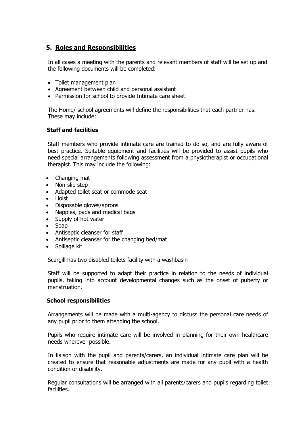### **5. Roles and Responsibilities**

In all cases a meeting with the parents and relevant members of staff will be set up and the following documents will be completed:

- Toilet management plan
- Agreement between child and personal assistant
- Permission for school to provide Intimate care sheet.

The Home/ school agreements will define the responsibilities that each partner has. These may include:

#### **Staff and facilities**

Staff members who provide intimate care are trained to do so, and are fully aware of best practice. Suitable equipment and facilities will be provided to assist pupils who need special arrangements following assessment from a physiotherapist or occupational therapist. This may include the following:

- Changing mat
- Non-slip step
- Adapted toilet seat or commode seat
- Hoist
- Disposable gloves/aprons
- Nappies, pads and medical bags
- Supply of hot water
- Soap
- Antiseptic cleanser for staff
- Antiseptic cleanser for the changing bed/mat
- Spillage kit

Scargill has two disabled toilets facility with a washbasin

Staff will be supported to adapt their practice in relation to the needs of individual pupils, taking into account developmental changes such as the onset of puberty or menstruation.

#### **School responsibilities**

Arrangements will be made with a multi-agency to discuss the personal care needs of any pupil prior to them attending the school.

Pupils who require intimate care will be involved in planning for their own healthcare needs wherever possible.

In liaison with the pupil and parents/carers, an individual intimate care plan will be created to ensure that reasonable adjustments are made for any pupil with a health condition or disability.

Regular consultations will be arranged with all parents/carers and pupils regarding toilet facilities.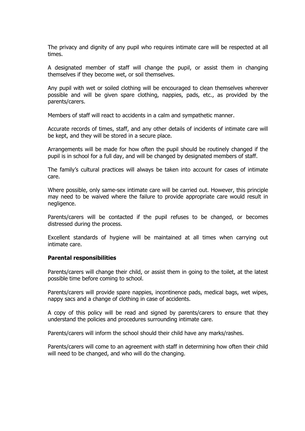The privacy and dignity of any pupil who requires intimate care will be respected at all times.

A designated member of staff will change the pupil, or assist them in changing themselves if they become wet, or soil themselves.

Any pupil with wet or soiled clothing will be encouraged to clean themselves wherever possible and will be given spare clothing, nappies, pads, etc., as provided by the parents/carers.

Members of staff will react to accidents in a calm and sympathetic manner.

Accurate records of times, staff, and any other details of incidents of intimate care will be kept, and they will be stored in a secure place.

Arrangements will be made for how often the pupil should be routinely changed if the pupil is in school for a full day, and will be changed by designated members of staff.

The family's cultural practices will always be taken into account for cases of intimate care.

Where possible, only same-sex intimate care will be carried out. However, this principle may need to be waived where the failure to provide appropriate care would result in negligence.

Parents/carers will be contacted if the pupil refuses to be changed, or becomes distressed during the process.

Excellent standards of hygiene will be maintained at all times when carrying out intimate care.

#### **Parental responsibilities**

Parents/carers will change their child, or assist them in going to the toilet, at the latest possible time before coming to school.

Parents/carers will provide spare nappies, incontinence pads, medical bags, wet wipes, nappy sacs and a change of clothing in case of accidents.

A copy of this policy will be read and signed by parents/carers to ensure that they understand the policies and procedures surrounding intimate care.

Parents/carers will inform the school should their child have any marks/rashes.

Parents/carers will come to an agreement with staff in determining how often their child will need to be changed, and who will do the changing.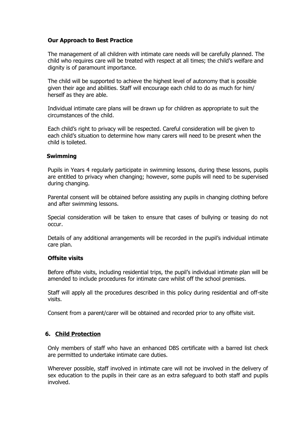#### **Our Approach to Best Practice**

The management of all children with intimate care needs will be carefully planned. The child who requires care will be treated with respect at all times; the child's welfare and dignity is of paramount importance.

The child will be supported to achieve the highest level of autonomy that is possible given their age and abilities. Staff will encourage each child to do as much for him/ herself as they are able.

Individual intimate care plans will be drawn up for children as appropriate to suit the circumstances of the child.

Each child's right to privacy will be respected. Careful consideration will be given to each child's situation to determine how many carers will need to be present when the child is toileted.

#### **Swimming**

Pupils in Years 4 regularly participate in swimming lessons, during these lessons, pupils are entitled to privacy when changing; however, some pupils will need to be supervised during changing.

Parental consent will be obtained before assisting any pupils in changing clothing before and after swimming lessons.

Special consideration will be taken to ensure that cases of bullying or teasing do not occur.

Details of any additional arrangements will be recorded in the pupil's individual intimate care plan.

#### **Offsite visits**

Before offsite visits, including residential trips, the pupil's individual intimate plan will be amended to include procedures for intimate care whilst off the school premises.

Staff will apply all the procedures described in this policy during residential and off-site visits.

Consent from a parent/carer will be obtained and recorded prior to any offsite visit.

#### **6. Child Protection**

Only members of staff who have an enhanced DBS certificate with a barred list check are permitted to undertake intimate care duties.

Wherever possible, staff involved in intimate care will not be involved in the delivery of sex education to the pupils in their care as an extra safeguard to both staff and pupils involved.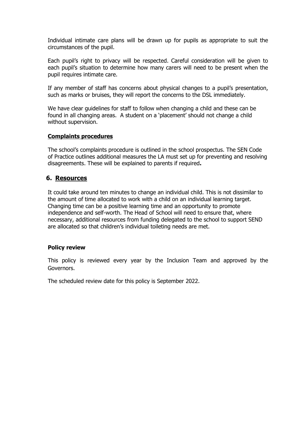Individual intimate care plans will be drawn up for pupils as appropriate to suit the circumstances of the pupil.

Each pupil's right to privacy will be respected. Careful consideration will be given to each pupil's situation to determine how many carers will need to be present when the pupil requires intimate care.

If any member of staff has concerns about physical changes to a pupil's presentation, such as marks or bruises, they will report the concerns to the DSL immediately.

We have clear guidelines for staff to follow when changing a child and these can be found in all changing areas. A student on a 'placement' should not change a child without supervision.

#### **Complaints procedures**

The school's complaints procedure is outlined in the school prospectus. The SEN Code of Practice outlines additional measures the LA must set up for preventing and resolving disagreements. These will be explained to parents if required**.**

### **6. Resources**

It could take around ten minutes to change an individual child. This is not dissimilar to the amount of time allocated to work with a child on an individual learning target. Changing time can be a positive learning time and an opportunity to promote independence and self-worth. The Head of School will need to ensure that, where necessary, additional resources from funding delegated to the school to support SEND are allocated so that children's individual toileting needs are met.

#### **Policy review**

This policy is reviewed every year by the Inclusion Team and approved by the Governors.

The scheduled review date for this policy is September 2022.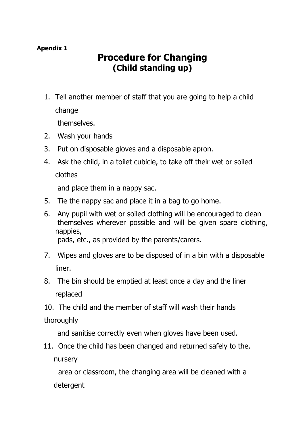### **Procedure for Changing (Child standing up)**

1. Tell another member of staff that you are going to help a child change

themselves.

- 2. Wash your hands
- 3. Put on disposable gloves and a disposable apron.
- 4. Ask the child, in a toilet cubicle, to take off their wet or soiled clothes

and place them in a nappy sac.

- 5. Tie the nappy sac and place it in a bag to go home.
- 6. Any pupil with wet or soiled clothing will be encouraged to clean themselves wherever possible and will be given spare clothing, nappies, pads, etc., as provided by the parents/carers.
- 7. Wipes and gloves are to be disposed of in a bin with a disposable liner.
- 8. The bin should be emptied at least once a day and the liner replaced
- 10. The child and the member of staff will wash their hands

### thoroughly

and sanitise correctly even when gloves have been used.

11. Once the child has been changed and returned safely to the, nursery

 area or classroom, the changing area will be cleaned with a detergent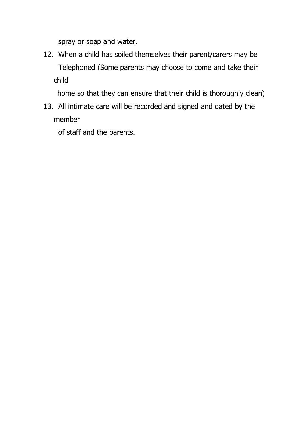spray or soap and water.

12. When a child has soiled themselves their parent/carers may be Telephoned (Some parents may choose to come and take their child

home so that they can ensure that their child is thoroughly clean)

13. All intimate care will be recorded and signed and dated by the member

of staff and the parents.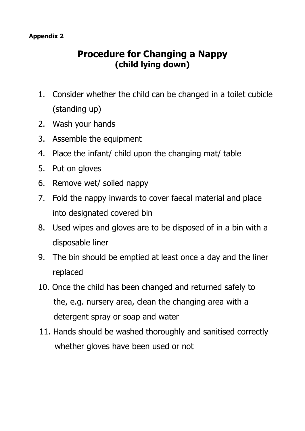## **Procedure for Changing a Nappy (child lying down)**

- 1. Consider whether the child can be changed in a toilet cubicle (standing up)
- 2. Wash your hands
- 3. Assemble the equipment
- 4. Place the infant/ child upon the changing mat/ table
- 5. Put on gloves
- 6. Remove wet/ soiled nappy
- 7. Fold the nappy inwards to cover faecal material and place into designated covered bin
- 8. Used wipes and gloves are to be disposed of in a bin with a disposable liner
- 9. The bin should be emptied at least once a day and the liner replaced
- 10. Once the child has been changed and returned safely to the, e.g. nursery area, clean the changing area with a detergent spray or soap and water
- 11. Hands should be washed thoroughly and sanitised correctly whether gloves have been used or not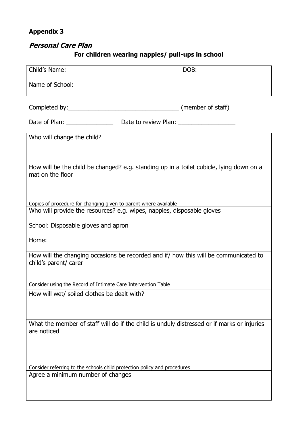### **Personal Care Plan**

### **For children wearing nappies/ pull-ups in school**

| Child's Name:                                                                                                                              | DOB: |
|--------------------------------------------------------------------------------------------------------------------------------------------|------|
| Name of School:                                                                                                                            |      |
|                                                                                                                                            |      |
| Date of Plan: _________________________Date to review Plan: ____________________                                                           |      |
| Who will change the child?                                                                                                                 |      |
|                                                                                                                                            |      |
| How will be the child be changed? e.g. standing up in a toilet cubicle, lying down on a<br>mat on the floor                                |      |
|                                                                                                                                            |      |
| Copies of procedure for changing given to parent where available<br>Who will provide the resources? e.g. wipes, nappies, disposable gloves |      |
| School: Disposable gloves and apron                                                                                                        |      |
| Home:                                                                                                                                      |      |
| How will the changing occasions be recorded and if/ how this will be communicated to<br>child's parent/ carer                              |      |
| Consider using the Record of Intimate Care Intervention Table                                                                              |      |
| How will wet/ soiled clothes be dealt with?                                                                                                |      |
|                                                                                                                                            |      |
| What the member of staff will do if the child is unduly distressed or if marks or injuries<br>are noticed                                  |      |
| Consider referring to the schools child protection policy and procedures<br>Agree a minimum number of changes                              |      |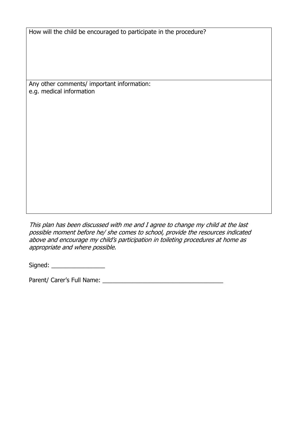How will the child be encouraged to participate in the procedure?

Any other comments/ important information: e.g. medical information

This plan has been discussed with me and I agree to change my child at the last possible moment before he/ she comes to school, provide the resources indicated above and encourage my child's participation in toileting procedures at home as appropriate and where possible.

Signed: \_\_\_\_\_\_\_\_\_\_\_\_\_\_\_\_

Parent/ Carer's Full Name: \_\_\_\_\_\_\_\_\_\_\_\_\_\_\_\_\_\_\_\_\_\_\_\_\_\_\_\_\_\_\_\_\_\_\_\_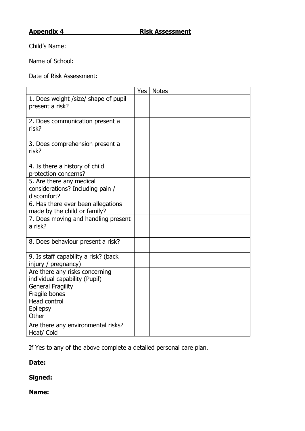Child's Name:

Name of School:

Date of Risk Assessment:

|                                                                                                                                                                 | Yes | <b>Notes</b> |
|-----------------------------------------------------------------------------------------------------------------------------------------------------------------|-----|--------------|
| 1. Does weight /size/ shape of pupil<br>present a risk?                                                                                                         |     |              |
| 2. Does communication present a<br>risk?                                                                                                                        |     |              |
| 3. Does comprehension present a<br>risk?                                                                                                                        |     |              |
| 4. Is there a history of child<br>protection concerns?                                                                                                          |     |              |
| 5. Are there any medical<br>considerations? Including pain /<br>discomfort?                                                                                     |     |              |
| 6. Has there ever been allegations<br>made by the child or family?                                                                                              |     |              |
| 7. Does moving and handling present<br>a risk?                                                                                                                  |     |              |
| 8. Does behaviour present a risk?                                                                                                                               |     |              |
| 9. Is staff capability a risk? (back<br>injury / pregnancy)                                                                                                     |     |              |
| Are there any risks concerning<br>individual capability (Pupil)<br><b>General Fragility</b><br>Fragile bones<br><b>Head control</b><br><b>Epilepsy</b><br>Other |     |              |
| Are there any environmental risks?<br>Heat/ Cold                                                                                                                |     |              |

If Yes to any of the above complete a detailed personal care plan.

**Date:**

**Signed:**

**Name:**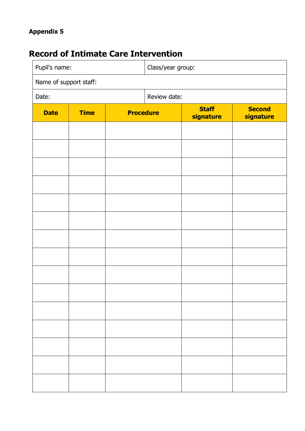## **Record of Intimate Care Intervention**

| Pupil's name:<br>Class/year group: |             |                  |  |                           |                            |
|------------------------------------|-------------|------------------|--|---------------------------|----------------------------|
| Name of support staff:             |             |                  |  |                           |                            |
| Date:                              |             | Review date:     |  |                           |                            |
| <b>Date</b>                        | <b>Time</b> | <b>Procedure</b> |  | <b>Staff</b><br>signature | <b>Second</b><br>signature |
|                                    |             |                  |  |                           |                            |
|                                    |             |                  |  |                           |                            |
|                                    |             |                  |  |                           |                            |
|                                    |             |                  |  |                           |                            |
|                                    |             |                  |  |                           |                            |
|                                    |             |                  |  |                           |                            |
|                                    |             |                  |  |                           |                            |
|                                    |             |                  |  |                           |                            |
|                                    |             |                  |  |                           |                            |
|                                    |             |                  |  |                           |                            |
|                                    |             |                  |  |                           |                            |
|                                    |             |                  |  |                           |                            |
|                                    |             |                  |  |                           |                            |
|                                    |             |                  |  |                           |                            |
|                                    |             |                  |  |                           |                            |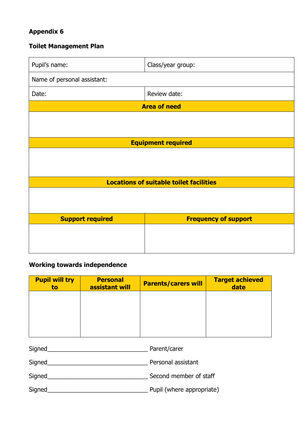### **Toilet Management Plan**

| Pupil's name:                                  | Class/year group:           |  |
|------------------------------------------------|-----------------------------|--|
| Name of personal assistant:                    |                             |  |
| Date:                                          | Review date:                |  |
| <b>Area of need</b>                            |                             |  |
|                                                |                             |  |
|                                                |                             |  |
| <b>Equipment required</b>                      |                             |  |
|                                                |                             |  |
|                                                |                             |  |
| <b>Locations of suitable toilet facilities</b> |                             |  |
|                                                |                             |  |
|                                                |                             |  |
| <b>Support required</b>                        | <b>Frequency of support</b> |  |
|                                                |                             |  |
|                                                |                             |  |
|                                                |                             |  |

### **Working towards independence**

| <b>Pupil will try</b><br>to | <b>Personal</b><br>assistant will | <b>Parents/carers will</b> | <b>Target achieved</b><br>date |
|-----------------------------|-----------------------------------|----------------------------|--------------------------------|
|                             |                                   |                            |                                |
|                             |                                   |                            |                                |
|                             |                                   |                            |                                |

| Signed        | Parent/carer              |
|---------------|---------------------------|
| Signed        | Personal assistant        |
| <b>Signed</b> | Second member of staff    |
| Signed        | Pupil (where appropriate) |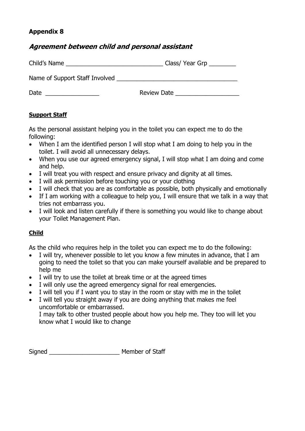### **Agreement between child and personal assistant**

| Child's Name | $Class/$ Year Grp $\_\_\_\_\_\_\_\_\_\_\_\_\_\_\_\_\_\_$ |
|--------------|----------------------------------------------------------|
|              |                                                          |
| Date         | Review Date                                              |

### **Support Staff**

As the personal assistant helping you in the toilet you can expect me to do the following:

- When I am the identified person I will stop what I am doing to help you in the toilet. I will avoid all unnecessary delays.
- When you use our agreed emergency signal, I will stop what I am doing and come and help.
- I will treat you with respect and ensure privacy and dignity at all times.
- I will ask permission before touching you or your clothing
- I will check that you are as comfortable as possible, both physically and emotionally
- If I am working with a colleague to help you, I will ensure that we talk in a way that tries not embarrass you.
- I will look and listen carefully if there is something you would like to change about your Toilet Management Plan.

### **Child**

As the child who requires help in the toilet you can expect me to do the following:

- I will try, whenever possible to let you know a few minutes in advance, that I am going to need the toilet so that you can make yourself available and be prepared to help me
- I will try to use the toilet at break time or at the agreed times
- I will only use the agreed emergency signal for real emergencies.
- I will tell you if I want you to stay in the room or stay with me in the toilet
- I will tell you straight away if you are doing anything that makes me feel uncomfortable or embarrassed.

I may talk to other trusted people about how you help me. They too will let you know what I would like to change

Signed \_\_\_\_\_\_\_\_\_\_\_\_\_\_\_\_\_\_\_\_\_ Member of Staff